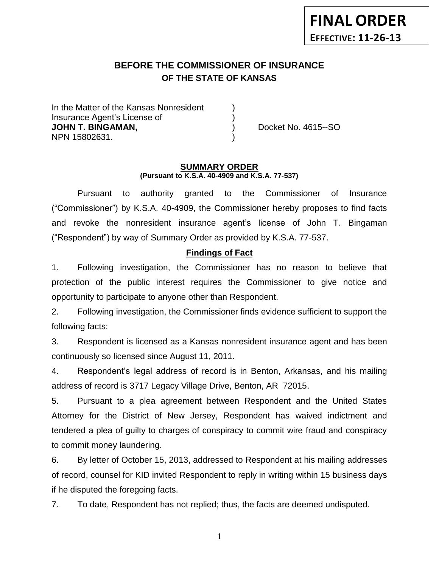# **BEFORE THE COMMISSIONER OF INSURANCE OF THE STATE OF KANSAS**

In the Matter of the Kansas Nonresident Insurance Agent's License of ) **JOHN T. BINGAMAN,**  $\qquad \qquad$  Docket No. 4615--SO NPN 15802631. )

#### **SUMMARY ORDER (Pursuant to K.S.A. 40-4909 and K.S.A. 77-537)**

Pursuant to authority granted to the Commissioner of Insurance ("Commissioner") by K.S.A. 40-4909, the Commissioner hereby proposes to find facts and revoke the nonresident insurance agent's license of John T. Bingaman ("Respondent") by way of Summary Order as provided by K.S.A. 77-537.

## **Findings of Fact**

1. Following investigation, the Commissioner has no reason to believe that protection of the public interest requires the Commissioner to give notice and opportunity to participate to anyone other than Respondent.

2. Following investigation, the Commissioner finds evidence sufficient to support the following facts:

3. Respondent is licensed as a Kansas nonresident insurance agent and has been continuously so licensed since August 11, 2011.

4. Respondent's legal address of record is in Benton, Arkansas, and his mailing address of record is 3717 Legacy Village Drive, Benton, AR 72015.

5. Pursuant to a plea agreement between Respondent and the United States Attorney for the District of New Jersey, Respondent has waived indictment and tendered a plea of guilty to charges of conspiracy to commit wire fraud and conspiracy to commit money laundering.

6. By letter of October 15, 2013, addressed to Respondent at his mailing addresses of record, counsel for KID invited Respondent to reply in writing within 15 business days if he disputed the foregoing facts.

7. To date, Respondent has not replied; thus, the facts are deemed undisputed.

1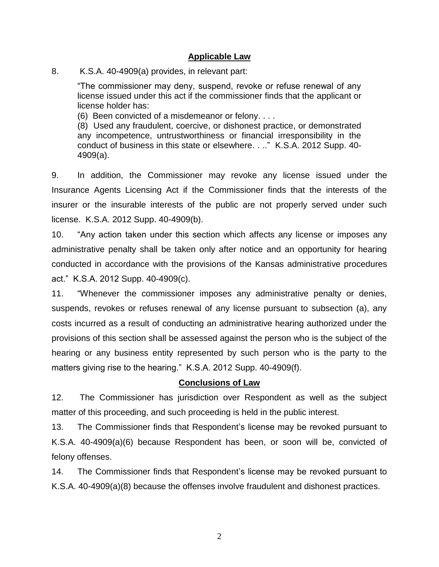## **Applicable Law**

8. K.S.A. 40-4909(a) provides, in relevant part:

"The commissioner may deny, suspend, revoke or refuse renewal of any license issued under this act if the commissioner finds that the applicant or license holder has:

(6) Been convicted of a misdemeanor or felony. . . .

(8) Used any fraudulent, coercive, or dishonest practice, or demonstrated any incompetence, untrustworthiness or financial irresponsibility in the conduct of business in this state or elsewhere. . .." K.S.A. 2012 Supp. 40- 4909(a).

9. In addition, the Commissioner may revoke any license issued under the Insurance Agents Licensing Act if the Commissioner finds that the interests of the insurer or the insurable interests of the public are not properly served under such license. K.S.A. 2012 Supp. 40-4909(b).

10. "Any action taken under this section which affects any license or imposes any administrative penalty shall be taken only after notice and an opportunity for hearing conducted in accordance with the provisions of the Kansas administrative procedures act." K.S.A. 2012 Supp. 40-4909(c).

11. "Whenever the commissioner imposes any administrative penalty or denies, suspends, revokes or refuses renewal of any license pursuant to subsection (a), any costs incurred as a result of conducting an administrative hearing authorized under the provisions of this section shall be assessed against the person who is the subject of the hearing or any business entity represented by such person who is the party to the matters giving rise to the hearing." K.S.A. 2012 Supp. 40-4909(f).

## **Conclusions of Law**

12. The Commissioner has jurisdiction over Respondent as well as the subject matter of this proceeding, and such proceeding is held in the public interest.

13. The Commissioner finds that Respondent's license may be revoked pursuant to K.S.A. 40-4909(a)(6) because Respondent has been, or soon will be, convicted of felony offenses.

14. The Commissioner finds that Respondent's license may be revoked pursuant to K.S.A. 40-4909(a)(8) because the offenses involve fraudulent and dishonest practices.

2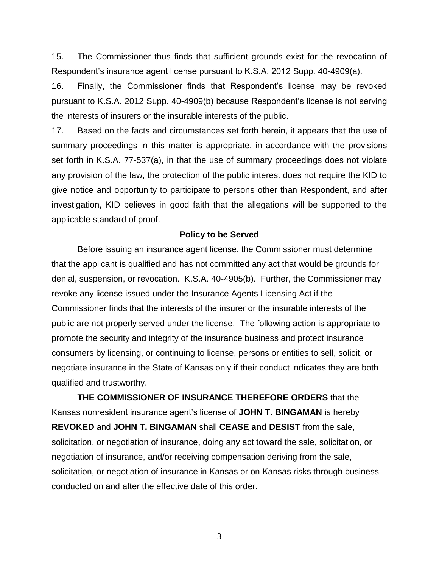15. The Commissioner thus finds that sufficient grounds exist for the revocation of Respondent's insurance agent license pursuant to K.S.A. 2012 Supp. 40-4909(a).

16. Finally, the Commissioner finds that Respondent's license may be revoked pursuant to K.S.A. 2012 Supp. 40-4909(b) because Respondent's license is not serving the interests of insurers or the insurable interests of the public.

17. Based on the facts and circumstances set forth herein, it appears that the use of summary proceedings in this matter is appropriate, in accordance with the provisions set forth in K.S.A. 77-537(a), in that the use of summary proceedings does not violate any provision of the law, the protection of the public interest does not require the KID to give notice and opportunity to participate to persons other than Respondent, and after investigation, KID believes in good faith that the allegations will be supported to the applicable standard of proof.

### **Policy to be Served**

Before issuing an insurance agent license, the Commissioner must determine that the applicant is qualified and has not committed any act that would be grounds for denial, suspension, or revocation. K.S.A. 40-4905(b). Further, the Commissioner may revoke any license issued under the Insurance Agents Licensing Act if the Commissioner finds that the interests of the insurer or the insurable interests of the public are not properly served under the license. The following action is appropriate to promote the security and integrity of the insurance business and protect insurance consumers by licensing, or continuing to license, persons or entities to sell, solicit, or negotiate insurance in the State of Kansas only if their conduct indicates they are both qualified and trustworthy.

**THE COMMISSIONER OF INSURANCE THEREFORE ORDERS** that the Kansas nonresident insurance agent's license of **JOHN T. BINGAMAN** is hereby **REVOKED** and **JOHN T. BINGAMAN** shall **CEASE and DESIST** from the sale, solicitation, or negotiation of insurance, doing any act toward the sale, solicitation, or negotiation of insurance, and/or receiving compensation deriving from the sale, solicitation, or negotiation of insurance in Kansas or on Kansas risks through business conducted on and after the effective date of this order.

3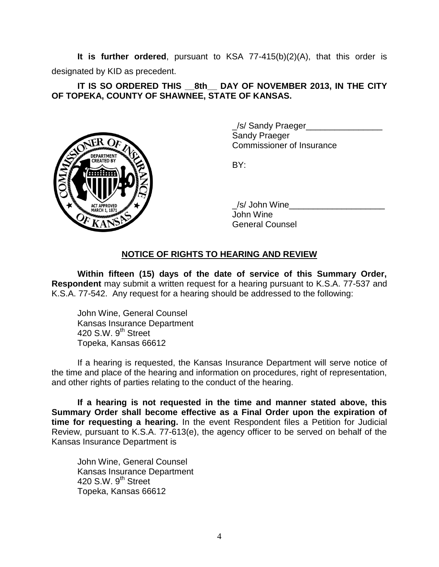**It is further ordered**, pursuant to KSA 77-415(b)(2)(A), that this order is designated by KID as precedent.

## **IT IS SO ORDERED THIS \_\_8th\_\_ DAY OF NOVEMBER 2013, IN THE CITY OF TOPEKA, COUNTY OF SHAWNEE, STATE OF KANSAS.**



\_/s/ Sandy Praeger\_\_\_\_\_\_\_\_\_\_\_\_\_\_\_\_ Sandy Praeger Commissioner of Insurance

BY:

/s/ John Wine John Wine General Counsel

# **NOTICE OF RIGHTS TO HEARING AND REVIEW**

**Within fifteen (15) days of the date of service of this Summary Order, Respondent** may submit a written request for a hearing pursuant to K.S.A. 77-537 and K.S.A. 77-542. Any request for a hearing should be addressed to the following:

John Wine, General Counsel Kansas Insurance Department 420 S.W. 9<sup>th</sup> Street Topeka, Kansas 66612

If a hearing is requested, the Kansas Insurance Department will serve notice of the time and place of the hearing and information on procedures, right of representation, and other rights of parties relating to the conduct of the hearing.

**If a hearing is not requested in the time and manner stated above, this Summary Order shall become effective as a Final Order upon the expiration of time for requesting a hearing.** In the event Respondent files a Petition for Judicial Review, pursuant to K.S.A. 77-613(e), the agency officer to be served on behalf of the Kansas Insurance Department is

John Wine, General Counsel Kansas Insurance Department 420 S.W.  $9<sup>th</sup>$  Street Topeka, Kansas 66612